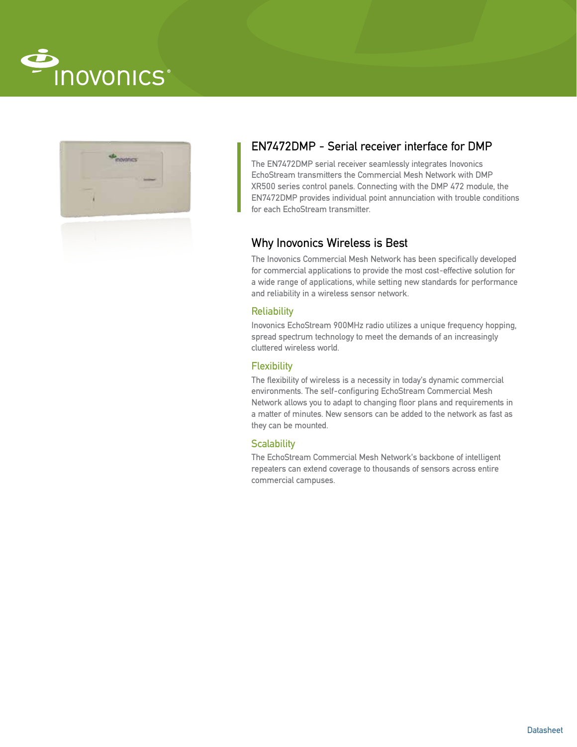



# EN7472DMP - Serial receiver interface for DMP

The EN7472DMP serial receiver seamlessly integrates Inovonics EchoStream transmitters the Commercial Mesh Network with DMP XR500 series control panels. Connecting with the DMP 472 module, the EN7472DMP provides individual point annunciation with trouble conditions for each EchoStream transmitter.

## Why Inovonics Wireless is Best

The Inovonics Commercial Mesh Network has been specifically developed for commercial applications to provide the most cost-effective solution for a wide range of applications, while setting new standards for performance and reliability in a wireless sensor network.

## **Reliability**

Inovonics EchoStream 900MHz radio utilizes a unique frequency hopping, spread spectrum technology to meet the demands of an increasingly cluttered wireless world.

## **Flexibility**

The flexibility of wireless is a necessity in today's dynamic commercial environments. The self-configuring EchoStream Commercial Mesh Network allows you to adapt to changing floor plans and requirements in a matter of minutes. New sensors can be added to the network as fast as they can be mounted.

#### **Scalability**

The EchoStream Commercial Mesh Network's backbone of intelligent repeaters can extend coverage to thousands of sensors across entire commercial campuses.